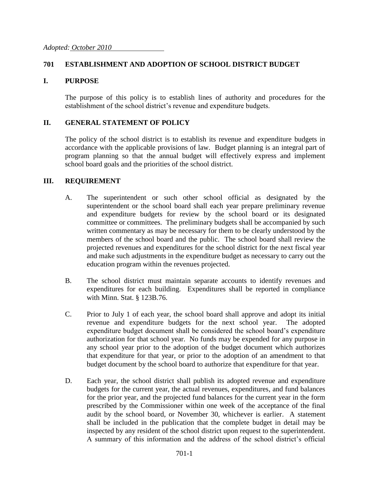## **701 ESTABLISHMENT AND ADOPTION OF SCHOOL DISTRICT BUDGET**

### **I. PURPOSE**

The purpose of this policy is to establish lines of authority and procedures for the establishment of the school district's revenue and expenditure budgets.

### **II. GENERAL STATEMENT OF POLICY**

The policy of the school district is to establish its revenue and expenditure budgets in accordance with the applicable provisions of law. Budget planning is an integral part of program planning so that the annual budget will effectively express and implement school board goals and the priorities of the school district.

#### **III. REQUIREMENT**

- A. The superintendent or such other school official as designated by the superintendent or the school board shall each year prepare preliminary revenue and expenditure budgets for review by the school board or its designated committee or committees. The preliminary budgets shall be accompanied by such written commentary as may be necessary for them to be clearly understood by the members of the school board and the public. The school board shall review the projected revenues and expenditures for the school district for the next fiscal year and make such adjustments in the expenditure budget as necessary to carry out the education program within the revenues projected.
- B. The school district must maintain separate accounts to identify revenues and expenditures for each building. Expenditures shall be reported in compliance with Minn. Stat. § 123B.76.
- C. Prior to July 1 of each year, the school board shall approve and adopt its initial revenue and expenditure budgets for the next school year. The adopted expenditure budget document shall be considered the school board's expenditure authorization for that school year. No funds may be expended for any purpose in any school year prior to the adoption of the budget document which authorizes that expenditure for that year, or prior to the adoption of an amendment to that budget document by the school board to authorize that expenditure for that year.
- D. Each year, the school district shall publish its adopted revenue and expenditure budgets for the current year, the actual revenues, expenditures, and fund balances for the prior year, and the projected fund balances for the current year in the form prescribed by the Commissioner within one week of the acceptance of the final audit by the school board, or November 30, whichever is earlier. A statement shall be included in the publication that the complete budget in detail may be inspected by any resident of the school district upon request to the superintendent. A summary of this information and the address of the school district's official